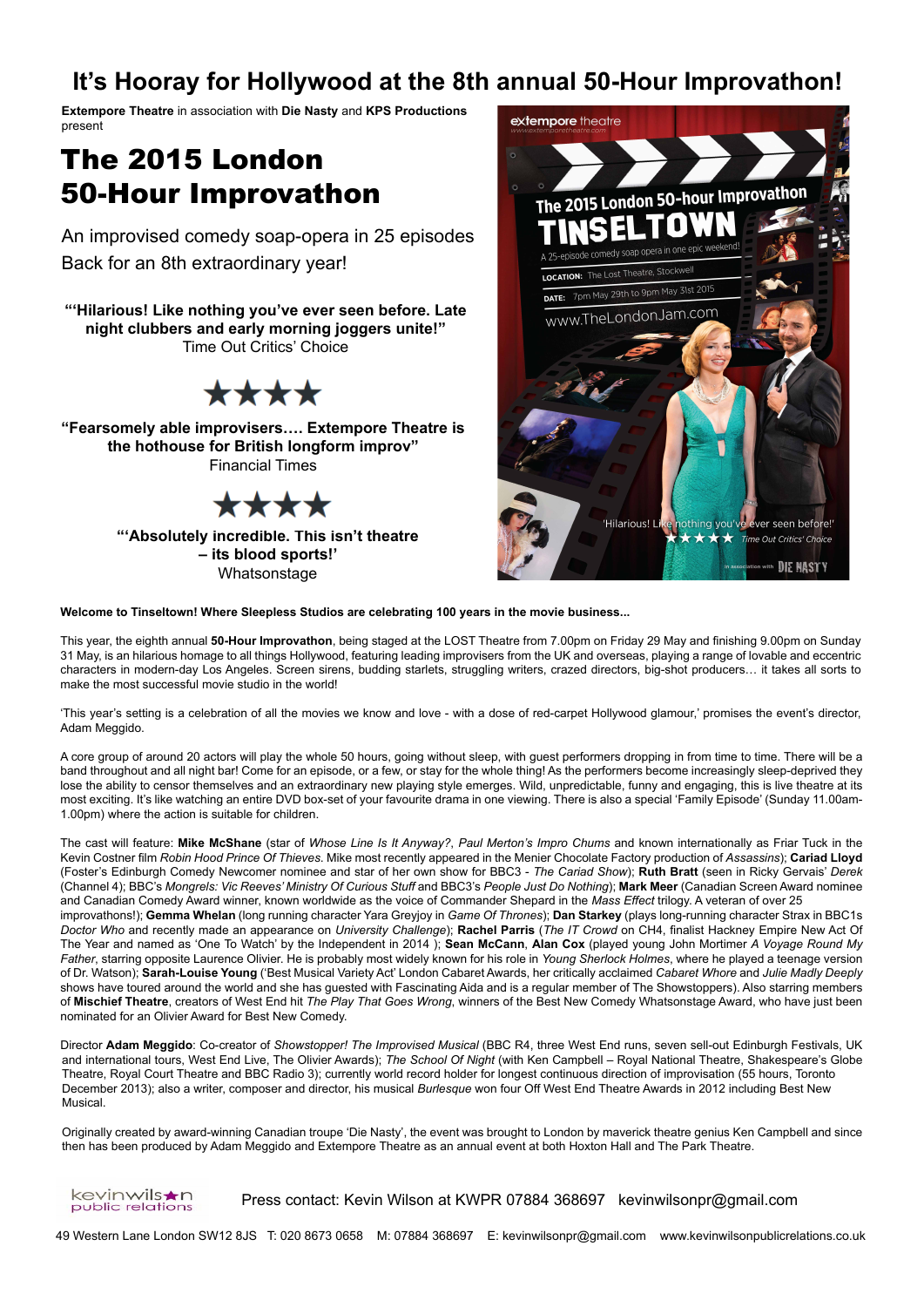# **It's Hooray for Hollywood at the 8th annual 50-Hour Improvathon!**

**Extempore Theatre** in association with **Die Nasty** and **KPS Productions** present

# The 2015 London 50-Hour Improvathon

Back for an 8th extraordinary year! An improvised comedy soap-opera in 25 episodes

**"'Hilarious! Like nothing you've ever seen before. Late night clubbers and early morning joggers unite!"**  Time Out Critics' Choice

# \*\*\*\*

**"Fearsomely able improvisers…. Extempore Theatre is the hothouse for British longform improv"** Financial Times

# \*\*\*\*

**"'Absolutely incredible. This isn't theatre – its blood sports!'**  Whatsonstage



**Welcome to Tinseltown! Where Sleepless Studios are celebrating 100 years in the movie business...**

This year, the eighth annual **50-Hour Improvathon**, being staged at the LOST Theatre from 7.00pm on Friday 29 May and finishing 9.00pm on Sunday 31 May, is an hilarious homage to all things Hollywood, featuring leading improvisers from the UK and overseas, playing a range of lovable and eccentric characters in modern-day Los Angeles. Screen sirens, budding starlets, struggling writers, crazed directors, big-shot producers… it takes all sorts to make the most successful movie studio in the world!

'This year's setting is a celebration of all the movies we know and love - with a dose of red-carpet Hollywood glamour,' promises the event's director, Adam Meggido.

A core group of around 20 actors will play the whole 50 hours, going without sleep, with guest performers dropping in from time to time. There will be a band throughout and all night bar! Come for an episode, or a few, or stay for the whole thing! As the performers become increasingly sleep-deprived they lose the ability to censor themselves and an extraordinary new playing style emerges. Wild, unpredictable, funny and engaging, this is live theatre at its most exciting. It's like watching an entire DVD box-set of your favourite drama in one viewing. There is also a special 'Family Episode' (Sunday 11.00am-1.00pm) where the action is suitable for children.

The cast will feature: **Mike McShane** (star of *Whose Line Is It Anyway?*, *Paul Merton's Impro Chums* and known internationally as Friar Tuck in the Kevin Costner film *Robin Hood Prince Of Thieves*. Mike most recently appeared in the Menier Chocolate Factory production of *Assassins*); **Cariad Lloyd** (Foster's Edinburgh Comedy Newcomer nominee and star of her own show for BBC3 - *The Cariad Show*); **Ruth Bratt** (seen in Ricky Gervais' *Derek* (Channel 4); BBC's *Mongrels: Vic Reeves' Ministry Of Curious Stuff* and BBC3's *People Just Do Nothing*); **Mark Meer** (Canadian Screen Award nominee and Canadian Comedy Award winner, known worldwide as the voice of Commander Shepard in the *Mass Effect* trilogy. A veteran of over 25 improvathons!); **Gemma Whelan** (long running character Yara Greyjoy in *Game Of Thrones*); **Dan Starkey** (plays long-running character Strax in BBC1s *Doctor Who* and recently made an appearance on *University Challenge*); **Rachel Parris** (*The IT Crowd* on CH4, finalist Hackney Empire New Act Of The Year and named as 'One To Watch' by the Independent in 2014 ); **Sean McCann**, **Alan Cox** (played young John Mortimer *A Voyage Round My Father*, starring opposite Laurence Olivier. He is probably most widely known for his role in *Young Sherlock Holmes*, where he played a teenage version of Dr. Watson); **Sarah-Louise Young** ('Best Musical Variety Act' London Cabaret Awards, her critically acclaimed *Cabaret Whore* and *Julie Madly Deeply*  shows have toured around the world and she has guested with Fascinating Aida and is a regular member of The Showstoppers). Also starring members of **Mischief Theatre**, creators of West End hit *The Play That Goes Wrong*, winners of the Best New Comedy Whatsonstage Award, who have just been nominated for an Olivier Award for Best New Comedy.

Director **Adam Meggido**: Co-creator of *Showstopper! The Improvised Musical* (BBC R4, three West End runs, seven sell-out Edinburgh Festivals, UK and international tours, West End Live, The Olivier Awards); *The School Of Night* (with Ken Campbell – Royal National Theatre, Shakespeare's Globe Theatre, Royal Court Theatre and BBC Radio 3); currently world record holder for longest continuous direction of improvisation (55 hours, Toronto December 2013); also a writer, composer and director, his musical *Burlesque* won four Off West End Theatre Awards in 2012 including Best New Musical.

Originally created by award-winning Canadian troupe 'Die Nasty', the event was brought to London by maverick theatre genius Ken Campbell and since then has been produced by Adam Meggido and Extempore Theatre as an annual event at both Hoxton Hall and The Park Theatre.

kevinwils★n public relations

Press contact: Kevin Wilson at KWPR 07884 368697 kevinwilsonpr@gmail.com